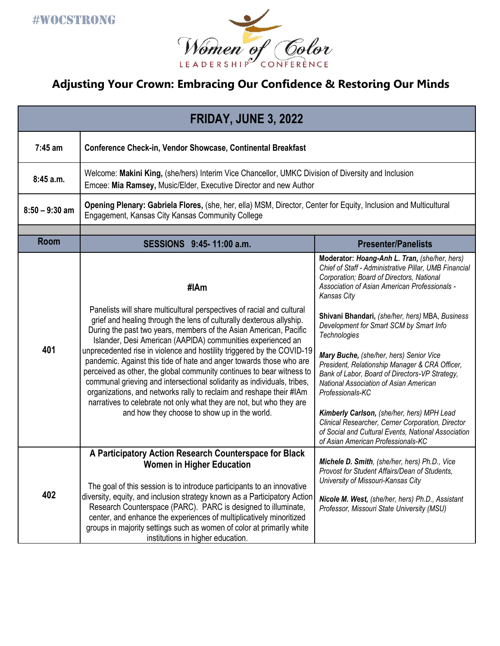

## **Adjusting Your Crown: Embracing Our Confidence & Restoring Our Minds**

| <b>FRIDAY, JUNE 3, 2022</b> |                                                                                                                                                                                                                                                                                                                                                                                                                                                                                                                                                                                                                                                                                                                                                                                                |                                                                                                                                                                                                                                                                                                                                                                                                                                                                                                                                                                                                                                                                                                                                                |  |  |
|-----------------------------|------------------------------------------------------------------------------------------------------------------------------------------------------------------------------------------------------------------------------------------------------------------------------------------------------------------------------------------------------------------------------------------------------------------------------------------------------------------------------------------------------------------------------------------------------------------------------------------------------------------------------------------------------------------------------------------------------------------------------------------------------------------------------------------------|------------------------------------------------------------------------------------------------------------------------------------------------------------------------------------------------------------------------------------------------------------------------------------------------------------------------------------------------------------------------------------------------------------------------------------------------------------------------------------------------------------------------------------------------------------------------------------------------------------------------------------------------------------------------------------------------------------------------------------------------|--|--|
| 7:45 am                     | <b>Conference Check-in, Vendor Showcase, Continental Breakfast</b>                                                                                                                                                                                                                                                                                                                                                                                                                                                                                                                                                                                                                                                                                                                             |                                                                                                                                                                                                                                                                                                                                                                                                                                                                                                                                                                                                                                                                                                                                                |  |  |
| 8:45a.m.                    | Welcome: Makini King, (she/hers) Interim Vice Chancellor, UMKC Division of Diversity and Inclusion<br>Emcee: Mia Ramsey, Music/Elder, Executive Director and new Author                                                                                                                                                                                                                                                                                                                                                                                                                                                                                                                                                                                                                        |                                                                                                                                                                                                                                                                                                                                                                                                                                                                                                                                                                                                                                                                                                                                                |  |  |
| $8:50 - 9:30$ am            | Opening Plenary: Gabriela Flores, (she, her, ella) MSM, Director, Center for Equity, Inclusion and Multicultural<br>Engagement, Kansas City Kansas Community College                                                                                                                                                                                                                                                                                                                                                                                                                                                                                                                                                                                                                           |                                                                                                                                                                                                                                                                                                                                                                                                                                                                                                                                                                                                                                                                                                                                                |  |  |
| <b>Room</b>                 | SESSIONS 9:45-11:00 a.m.                                                                                                                                                                                                                                                                                                                                                                                                                                                                                                                                                                                                                                                                                                                                                                       | <b>Presenter/Panelists</b>                                                                                                                                                                                                                                                                                                                                                                                                                                                                                                                                                                                                                                                                                                                     |  |  |
| 401                         | #IAm<br>Panelists will share multicultural perspectives of racial and cultural<br>grief and healing through the lens of culturally dexterous allyship.<br>During the past two years, members of the Asian American, Pacific<br>Islander, Desi American (AAPIDA) communities experienced an<br>unprecedented rise in violence and hostility triggered by the COVID-19<br>pandemic. Against this tide of hate and anger towards those who are<br>perceived as other, the global community continues to bear witness to<br>communal grieving and intersectional solidarity as individuals, tribes,<br>organizations, and networks rally to reclaim and reshape their #IAm<br>narratives to celebrate not only what they are not, but who they are<br>and how they choose to show up in the world. | Moderator: Hoang-Anh L. Tran, (she/her, hers)<br>Chief of Staff - Administrative Pillar, UMB Financial<br>Corporation; Board of Directors, National<br>Association of Asian American Professionals -<br>Kansas City<br>Shivani Bhandari, (she/her, hers) MBA, Business<br>Development for Smart SCM by Smart Info<br>Technologies<br>Mary Buche, (she/her, hers) Senior Vice<br>President, Relationship Manager & CRA Officer,<br>Bank of Labor, Board of Directors-VP Strategy,<br>National Association of Asian American<br>Professionals-KC<br>Kimberly Carlson, (she/her, hers) MPH Lead<br>Clinical Researcher, Cerner Corporation, Director<br>of Social and Cultural Events, National Association<br>of Asian American Professionals-KC |  |  |
| 402                         | A Participatory Action Research Counterspace for Black<br>Women in Higher Education<br>The goal of this session is to introduce participants to an innovative<br>diversity, equity, and inclusion strategy known as a Participatory Action<br>Research Counterspace (PARC). PARC is designed to illuminate,<br>center, and enhance the experiences of multiplicatively minoritized<br>groups in majority settings such as women of color at primarily white<br>institutions in higher education.                                                                                                                                                                                                                                                                                               | Michele D. Smith, (she/her, hers) Ph.D., Vice<br>Provost for Student Affairs/Dean of Students,<br>University of Missouri-Kansas City<br>Nicole M. West, (she/her, hers) Ph.D., Assistant<br>Professor, Missouri State University (MSU)                                                                                                                                                                                                                                                                                                                                                                                                                                                                                                         |  |  |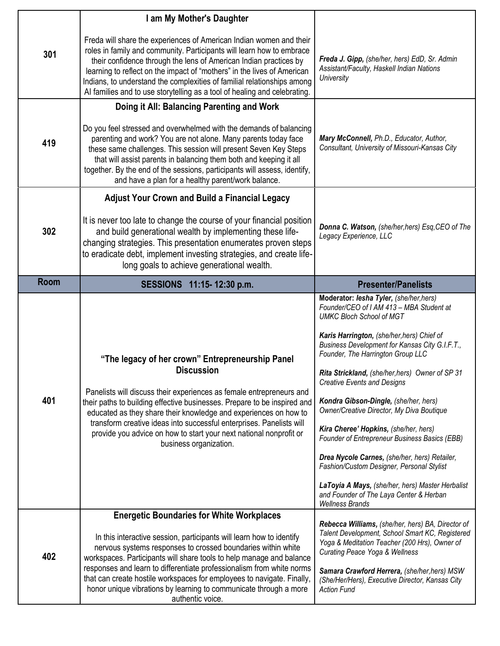|             | I am My Mother's Daughter                                                                                                                                                                                                                                                                                                                                                                                                                                             |                                                                                                                                                                                                                                                                                                                                                                                                                                                                                                                                                                                                                                                                                                                                                            |
|-------------|-----------------------------------------------------------------------------------------------------------------------------------------------------------------------------------------------------------------------------------------------------------------------------------------------------------------------------------------------------------------------------------------------------------------------------------------------------------------------|------------------------------------------------------------------------------------------------------------------------------------------------------------------------------------------------------------------------------------------------------------------------------------------------------------------------------------------------------------------------------------------------------------------------------------------------------------------------------------------------------------------------------------------------------------------------------------------------------------------------------------------------------------------------------------------------------------------------------------------------------------|
| 301         | Freda will share the experiences of American Indian women and their<br>roles in family and community. Participants will learn how to embrace<br>their confidence through the lens of American Indian practices by<br>learning to reflect on the impact of "mothers" in the lives of American<br>Indians, to understand the complexities of familial relationships among<br>Al families and to use storytelling as a tool of healing and celebrating.                  | Freda J. Gipp, (she/her, hers) EdD, Sr. Admin<br>Assistant/Faculty, Haskell Indian Nations<br>University                                                                                                                                                                                                                                                                                                                                                                                                                                                                                                                                                                                                                                                   |
|             | Doing it All: Balancing Parenting and Work                                                                                                                                                                                                                                                                                                                                                                                                                            |                                                                                                                                                                                                                                                                                                                                                                                                                                                                                                                                                                                                                                                                                                                                                            |
| 419         | Do you feel stressed and overwhelmed with the demands of balancing<br>parenting and work? You are not alone. Many parents today face<br>these same challenges. This session will present Seven Key Steps<br>that will assist parents in balancing them both and keeping it all<br>together. By the end of the sessions, participants will assess, identify,<br>and have a plan for a healthy parent/work balance.                                                     | Mary McConnell, Ph.D., Educator, Author,<br>Consultant, University of Missouri-Kansas City                                                                                                                                                                                                                                                                                                                                                                                                                                                                                                                                                                                                                                                                 |
|             | <b>Adjust Your Crown and Build a Financial Legacy</b>                                                                                                                                                                                                                                                                                                                                                                                                                 |                                                                                                                                                                                                                                                                                                                                                                                                                                                                                                                                                                                                                                                                                                                                                            |
| 302         | It is never too late to change the course of your financial position<br>and build generational wealth by implementing these life-<br>changing strategies. This presentation enumerates proven steps<br>to eradicate debt, implement investing strategies, and create life-<br>long goals to achieve generational wealth.                                                                                                                                              | Donna C. Watson, (she/her, hers) Esq, CEO of The<br>Legacy Experience, LLC                                                                                                                                                                                                                                                                                                                                                                                                                                                                                                                                                                                                                                                                                 |
| <b>Room</b> | SESSIONS 11:15-12:30 p.m.                                                                                                                                                                                                                                                                                                                                                                                                                                             | <b>Presenter/Panelists</b>                                                                                                                                                                                                                                                                                                                                                                                                                                                                                                                                                                                                                                                                                                                                 |
| 401         | "The legacy of her crown" Entrepreneurship Panel<br><b>Discussion</b><br>Panelists will discuss their experiences as female entrepreneurs and<br>their paths to building effective businesses. Prepare to be inspired and<br>educated as they share their knowledge and experiences on how to<br>transform creative ideas into successful enterprises. Panelists will<br>provide you advice on how to start your next national nonprofit or<br>business organization. | Moderator: lesha Tyler, (she/her,hers)<br>Founder/CEO of I AM 413 - MBA Student at<br><b>UMKC Bloch School of MGT</b><br>Karis Harrington, (she/her, hers) Chief of<br>Business Development for Kansas City G.I.F.T.,<br>Founder, The Harrington Group LLC<br>Rita Strickland, (she/her, hers) Owner of SP 31<br><b>Creative Events and Designs</b><br>Kondra Gibson-Dingle, (she/her, hers)<br>Owner/Creative Director, My Diva Boutique<br>Kira Cheree' Hopkins, (she/her, hers)<br>Founder of Entrepreneur Business Basics (EBB)<br>Drea Nycole Carnes, (she/her, hers) Retailer,<br>Fashion/Custom Designer, Personal Stylist<br>LaToyia A Mays, (she/her, hers) Master Herbalist<br>and Founder of The Laya Center & Herban<br><b>Wellness Brands</b> |
|             | <b>Energetic Boundaries for White Workplaces</b>                                                                                                                                                                                                                                                                                                                                                                                                                      |                                                                                                                                                                                                                                                                                                                                                                                                                                                                                                                                                                                                                                                                                                                                                            |
| 402         | In this interactive session, participants will learn how to identify<br>nervous systems responses to crossed boundaries within white<br>workspaces. Participants will share tools to help manage and balance<br>responses and learn to differentiate professionalism from white norms<br>that can create hostile workspaces for employees to navigate. Finally,<br>honor unique vibrations by learning to communicate through a more<br>authentic voice.              | Rebecca Williams, (she/her, hers) BA, Director of<br>Talent Development, School Smart KC, Registered<br>Yoga & Meditation Teacher (200 Hrs), Owner of<br><b>Curating Peace Yoga &amp; Wellness</b><br>Samara Crawford Herrera, (she/her, hers) MSW<br>(She/Her/Hers), Executive Director, Kansas City<br><b>Action Fund</b>                                                                                                                                                                                                                                                                                                                                                                                                                                |